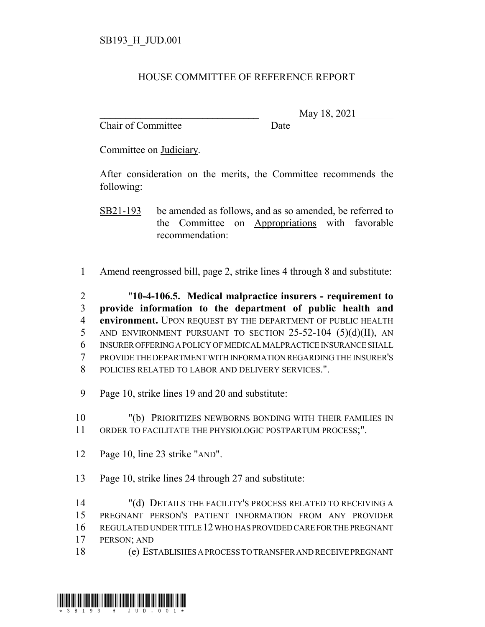## HOUSE COMMITTEE OF REFERENCE REPORT

Chair of Committee Date

\_\_\_\_\_\_\_\_\_\_\_\_\_\_\_\_\_\_\_\_\_\_\_\_\_\_\_\_\_\_\_ May 18, 2021

Committee on Judiciary.

After consideration on the merits, the Committee recommends the following:

SB21-193 be amended as follows, and as so amended, be referred to the Committee on Appropriations with favorable recommendation:

1 Amend reengrossed bill, page 2, strike lines 4 through 8 and substitute:

 "**10-4-106.5. Medical malpractice insurers - requirement to provide information to the department of public health and environment.** UPON REQUEST BY THE DEPARTMENT OF PUBLIC HEALTH 5 AND ENVIRONMENT PURSUANT TO SECTION 25-52-104 (5)(d)(II), AN INSURER OFFERING A POLICY OF MEDICAL MALPRACTICE INSURANCE SHALL PROVIDE THE DEPARTMENT WITH INFORMATION REGARDING THE INSURER'S POLICIES RELATED TO LABOR AND DELIVERY SERVICES.".

9 Page 10, strike lines 19 and 20 and substitute:

10 "(b) PRIORITIZES NEWBORNS BONDING WITH THEIR FAMILIES IN 11 ORDER TO FACILITATE THE PHYSIOLOGIC POSTPARTUM PROCESS;".

- 12 Page 10, line 23 strike "AND".
- 13 Page 10, strike lines 24 through 27 and substitute:

 "(d) DETAILS THE FACILITY'S PROCESS RELATED TO RECEIVING A PREGNANT PERSON'S PATIENT INFORMATION FROM ANY PROVIDER REGULATED UNDER TITLE 12 WHO HAS PROVIDED CARE FOR THE PREGNANT PERSON; AND

18 (e) ESTABLISHES A PROCESS TO TRANSFER AND RECEIVE PREGNANT